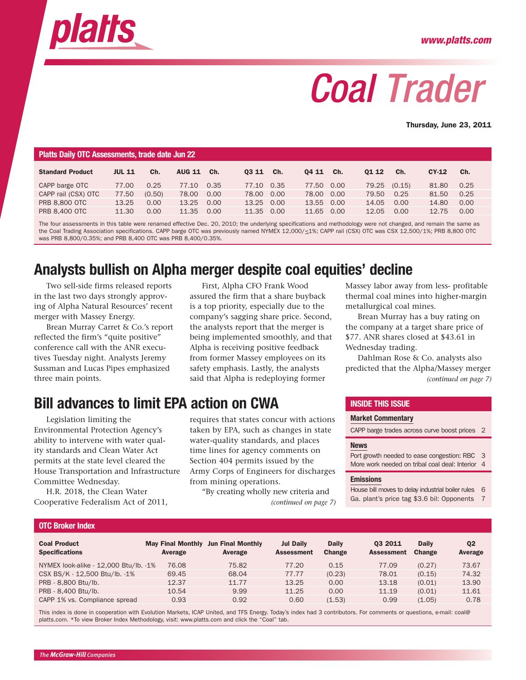<span id="page-0-0"></span>

# *Coal Trader*

Thursday, June 23, 2011

| Platts Daily OTC Assessments, trade date Jun 22 |               |        |               |      |            |     |            |     |       |              |       |      |
|-------------------------------------------------|---------------|--------|---------------|------|------------|-----|------------|-----|-------|--------------|-------|------|
| <b>Standard Product</b>                         | <b>JUL 11</b> | Ch.    | <b>AUG 11</b> | Ch.  | 03 11      | Ch. | 04 11      | Ch. | 01 12 | Ch.          | CY-12 | Ch.  |
| CAPP barge OTC                                  | 77.00         | 0.25   | 77.10         | 0.35 | 77.10 0.35 |     | 77.50 0.00 |     |       | 79.25 (0.15) | 81.80 | 0.25 |
| CAPP rail (CSX) OTC                             | 77.50         | (0.50) | 78.00         | 0.00 | 78.00 0.00 |     | 78.00 0.00 |     | 79.50 | 0.25         | 81.50 | 0.25 |
| <b>PRB 8.800 OTC</b>                            | 13.25         | 0.00   | 13.25         | 0.00 | 13.25 0.00 |     | 13.55 0.00 |     | 14.05 | 0.00         | 14.80 | 0.00 |
| <b>PRB 8.400 OTC</b>                            | 11.30         | 0.00   | 11.35         | 0.00 | 11.35 0.00 |     | 11.65 0.00 |     | 12.05 | 0.00         | 12.75 | 0.00 |

The four assessments in this table were renamed effective Dec. 20, 2010; the underlying specifications and methodology were not changed, and remain the same as the Coal Trading Association specifications. CAPP barge OTC was previously named NYMEX 12,000/<1%; CAPP rail (CSX) OTC was CSX 12,500/1%; PRB 8,800 OTC was PRB 8,800/0.35%; and PRB 8,400 OTC was PRB 8,400/0.35%.

### Analysts bullish on Alpha merger despite coal equities' decline

Two sell-side firms released reports in the last two days strongly approving of Alpha Natural Resources' recent merger with Massey Energy.

Brean Murray Carret & Co.'s report reflected the firm's "quite positive" conference call with the ANR executives Tuesday night. Analysts Jeremy Sussman and Lucas Pipes emphasized three main points.

### Bill advances to limit EPA action on CWA

Legislation limiting the Environmental Protection Agency's ability to intervene with water quality standards and Clean Water Act permits at the state level cleared the House Transportation and Infrastructure Committee Wednesday.

H.R. 2018, the Clean Water Cooperative Federalism Act of 2011,

First, Alpha CFO Frank Wood assured the firm that a share buyback is a top priority, especially due to the company's sagging share price. Second, the analysts report that the merger is being implemented smoothly, and that Alpha is receiving positive feedback from former Massey employees on its safety emphasis. Lastly, the analysts

requires that states concur with actions taken by EPA, such as changes in state water-quality standards, and places time lines for agency comments on Section 404 permits issued by the Army Corps of Engineers for discharges from mining operations.

"By creating wholly new criteria and *[\(continued on page 7\)](#page-2-0)* Massey labor away from less- profitable thermal coal mines into higher-margin metallurgical coal mines.

Brean Murray has a buy rating on the company at a target share price of \$77. ANR shares closed at \$43.61 in Wednesday trading.

said that Alpha is redeploying former *[\(continued on page 7\)](#page-2-0)* Dahlman Rose & Co. analysts also predicted that the Alpha/Massey merger

#### Inside this issue

#### [Market Commentary](#page--1-0)

CAPP barge trades across curve boost prices 2

#### [News](#page--1-0)

| Port growth needed to ease congestion: RBC 3     |  |
|--------------------------------------------------|--|
| More work needed on tribal coal deal: Interior 4 |  |

#### [Emissions](#page-1-0)

House bill moves to delay industrial boiler rules 6 Ga. plant's price tag \$3.6 bil: Opponents 7

#### OTC Broker Index

| <b>Coal Product</b><br><b>Specifications</b> | <b>May Final Monthly</b><br>Average | <b>Jun Final Monthly</b><br>Average | <b>Jul Daily</b><br><b>Assessment</b> | <b>Daily</b><br>Change | 03 2011<br><b>Assessment</b> | <b>Daily</b><br><b>Change</b> | Q <sub>2</sub><br>Average |
|----------------------------------------------|-------------------------------------|-------------------------------------|---------------------------------------|------------------------|------------------------------|-------------------------------|---------------------------|
| NYMEX look-alike - 12,000 Btu/lb. -1%        | 76.08                               | 75.82                               | 77.20                                 | 0.15                   | 77.09                        | (0.27)                        | 73.67                     |
| CSX BS/K - 12,500 Btu/lb. -1%                | 69.45                               | 68.04                               | 77.77                                 | (0.23)                 | 78.01                        | (0.15)                        | 74.32                     |
| PRB - 8,800 Btu/lb.                          | 12.37                               | 11.77                               | 13.25                                 | 0.00                   | 13.18                        | (0.01)                        | 13.90                     |
| PRB - 8,400 Btu/lb.                          | 10.54                               | 9.99                                | 11.25                                 | 0.00                   | 11.19                        | (0.01)                        | 11.61                     |
| CAPP 1% vs. Compliance spread                | 0.93                                | 0.92                                | 0.60                                  | (1.53)                 | 0.99                         | (1.05)                        | 0.78                      |

This index is done in cooperation with Evolution Markets, ICAP United, and TFS Energy. Today's index had 3 contributors. For comments or questions, e-mail: coal@ platts.com. \*To view Broker Index Methodology, visit: www.platts.com and click the "Coal" tab.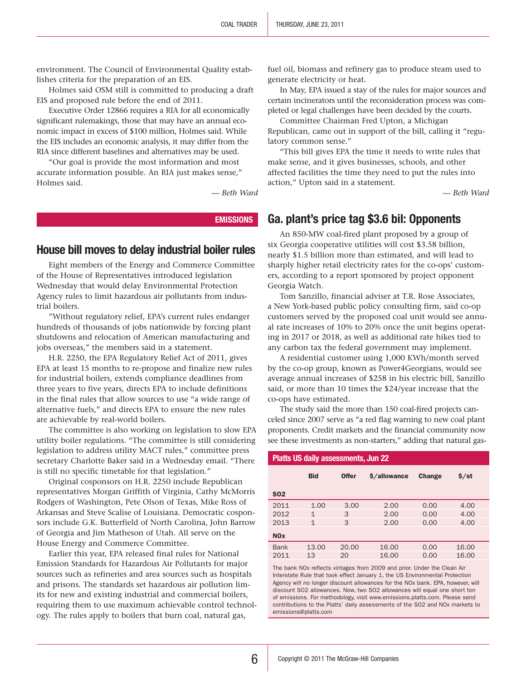<span id="page-1-0"></span>environment. The Council of Environmental Quality establishes criteria for the preparation of an EIS.

Holmes said OSM still is committed to producing a draft EIS and proposed rule before the end of 2011.

Executive Order 12866 requires a RIA for all economically significant rulemakings, those that may have an annual economic impact in excess of \$100 million, Holmes said. While the EIS includes an economic analysis, it may differ from the RIA since different baselines and alternatives may be used.

"Our goal is provide the most information and most accurate information possible. An RIA just makes sense," Holmes said.

*— Beth Ward*

#### **EMISSIONS**

#### House bill moves to delay industrial boiler rules

Eight members of the Energy and Commerce Committee of the House of Representatives introduced legislation Wednesday that would delay Environmental Protection Agency rules to limit hazardous air pollutants from industrial boilers.

"Without regulatory relief, EPA's current rules endanger hundreds of thousands of jobs nationwide by forcing plant shutdowns and relocation of American manufacturing and jobs overseas," the members said in a statement.

H.R. 2250, the EPA Regulatory Relief Act of 2011, gives EPA at least 15 months to re-propose and finalize new rules for industrial boilers, extends compliance deadlines from three years to five years, directs EPA to include definitions in the final rules that allow sources to use "a wide range of alternative fuels," and directs EPA to ensure the new rules are achievable by real-world boilers.

The committee is also working on legislation to slow EPA utility boiler regulations. "The committee is still considering legislation to address utility MACT rules," committee press secretary Charlotte Baker said in a Wednesday email. "There is still no specific timetable for that legislation."

Original cosponsors on H.R. 2250 include Republican representatives Morgan Griffith of Virginia, Cathy McMorris Rodgers of Washington, Pete Olson of Texas, Mike Ross of Arkansas and Steve Scalise of Louisiana. Democratic cosponsors include G.K. Butterfield of North Carolina, John Barrow of Georgia and Jim Matheson of Utah. All serve on the House Energy and Commerce Committee.

Earlier this year, EPA released final rules for National Emission Standards for Hazardous Air Pollutants for major sources such as refineries and area sources such as hospitals and prisons. The standards set hazardous air pollution limits for new and existing industrial and commercial boilers, requiring them to use maximum achievable control technology. The rules apply to boilers that burn coal, natural gas,

fuel oil, biomass and refinery gas to produce steam used to generate electricity or heat.

In May, EPA issued a stay of the rules for major sources and certain incinerators until the reconsideration process was completed or legal challenges have been decided by the courts.

Committee Chairman Fred Upton, a Michigan Republican, came out in support of the bill, calling it "regulatory common sense."

"This bill gives EPA the time it needs to write rules that make sense, and it gives businesses, schools, and other affected facilities the time they need to put the rules into action," Upton said in a statement.

*— Beth Ward*

#### Ga. plant's price tag \$3.6 bil: Opponents

An 850-MW coal-fired plant proposed by a group of six Georgia cooperative utilities will cost \$3.58 billion, nearly \$1.5 billion more than estimated, and will lead to sharply higher retail electricity rates for the co-ops' customers, according to a report sponsored by project opponent Georgia Watch.

Tom Sanzillo, financial adviser at T.R. Rose Associates, a New York-based public policy consulting firm, said co-op customers served by the proposed coal unit would see annual rate increases of 10% to 20% once the unit begins operating in 2017 or 2018, as well as additional rate hikes tied to any carbon tax the federal government may implement.

A residential customer using 1,000 KWh/month served by the co-op group, known as Power4Georgians, would see average annual increases of \$258 in his electric bill, Sanzillo said, or more than 10 times the \$24/year increase that the co-ops have estimated.

The study said the more than 150 coal-fired projects canceled since 2007 serve as "a red flag warning to new coal plant proponents. Credit markets and the financial community now see these investments as non-starters," adding that natural gas-

#### Platts US daily assessments, Jun 22

|                       | <b>Bid</b>   | <b>Offer</b> | \$/allowance | Change | $$$ /st |  |
|-----------------------|--------------|--------------|--------------|--------|---------|--|
| <b>SO2</b>            |              |              |              |        |         |  |
| 2011                  | 1.00         | 3.00         | 2.00         | 0.00   | 4.00    |  |
| 2012                  | $\mathbf 1$  | 3            | 2.00         | 0.00   | 4.00    |  |
| 2013                  | $\mathbf{1}$ | 3            | 2.00         | 0.00   | 4.00    |  |
| <b>NO<sub>x</sub></b> |              |              |              |        |         |  |
| <b>Bank</b>           | 13.00        | 20.00        | 16.00        | 0.00   | 16.00   |  |
| 2011                  | 13           | 20           | 16.00        | 0.00   | 16.00   |  |
|                       |              |              |              |        |         |  |

The bank NOx reflects vintages from 2009 and prior. Under the Clean Air Interstate Rule that took effect January 1, the US Environmental Protection Agency will no longer discount allowances for the NOx bank. EPA, however, will discount SO2 allowances. Now, two SO2 allowances will equal one short ton of emissions. For methodology, visit www.emissions.platts.com. Please send contributions to the Platts' daily assessments of the SO2 and NOx markets to emissions@platts.com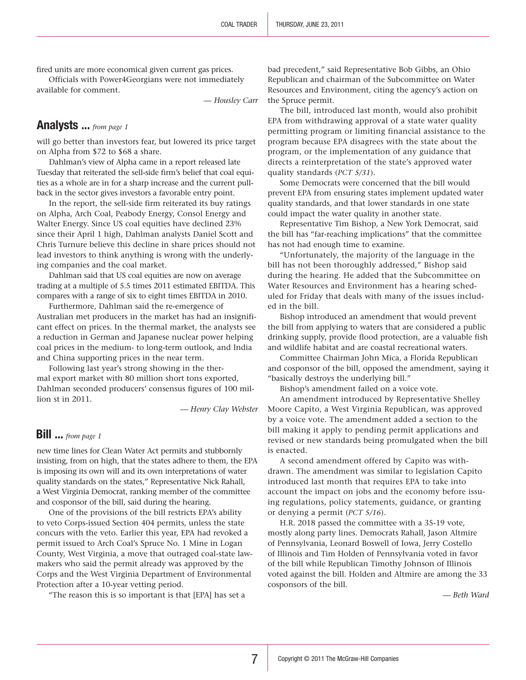<span id="page-2-0"></span>fired units are more economical given current gas prices.

Officials with Power4Georgians were not immediately available for comment.

*— Housley Carr*

#### [Analysts ...](#page-0-0) *from page 1*

will go better than investors fear, but lowered its price target on Alpha from \$72 to \$68 a share.

Dahlman's view of Alpha came in a report released late Tuesday that reiterated the sell-side firm's belief that coal equities as a whole are in for a sharp increase and the current pullback in the sector gives investors a favorable entry point.

In the report, the sell-side firm reiterated its buy ratings on Alpha, Arch Coal, Peabody Energy, Consol Energy and Walter Energy. Since US coal equities have declined 23% since their April 1 high, Dahlman analysts Daniel Scott and Chris Turnure believe this decline in share prices should not lead investors to think anything is wrong with the underlying companies and the coal market.

Dahlman said that US coal equities are now on average trading at a multiple of 5.5 times 2011 estimated EBITDA. This compares with a range of six to eight times EBITDA in 2010.

Furthermore, Dahlman said the re-emergence of Australian met producers in the market has had an insignificant effect on prices. In the thermal market, the analysts see a reduction in German and Japanese nuclear power helping coal prices in the medium- to long-term outlook, and India and China supporting prices in the near term.

Following last year's strong showing in the thermal export market with 80 million short tons exported, Dahlman seconded producers' consensus figures of 100 million st in 2011.

*— Henry Clay Webster*

#### [Bill ...](#page-0-0) *from page 1*

new time lines for Clean Water Act permits and stubbornly insisting, from on high, that the states adhere to them, the EPA is imposing its own will and its own interpretations of water quality standards on the states," Representative Nick Rahall, a West Virginia Democrat, ranking member of the committee and cosponsor of the bill, said during the hearing.

One of the provisions of the bill restricts EPA's ability to veto Corps-issued Section 404 permits, unless the state concurs with the veto. Earlier this year, EPA had revoked a permit issued to Arch Coal's Spruce No. 1 Mine in Logan County, West Virginia, a move that outraged coal-state lawmakers who said the permit already was approved by the Corps and the West Virginia Department of Environmental Protection after a 10-year vetting period.

"The reason this is so important is that [EPA] has set a

bad precedent," said Representative Bob Gibbs, an Ohio Republican and chairman of the Subcommittee on Water Resources and Environment, citing the agency's action on the Spruce permit.

The bill, introduced last month, would also prohibit EPA from withdrawing approval of a state water quality permitting program or limiting financial assistance to the program because EPA disagrees with the state about the program, or the implementation of any guidance that directs a reinterpretation of the state's approved water quality standards (*PCT 5/31*).

Some Democrats were concerned that the bill would prevent EPA from ensuring states implement updated water quality standards, and that lower standards in one state could impact the water quality in another state.

Representative Tim Bishop, a New York Democrat, said the bill has "far-reaching implications" that the committee has not had enough time to examine.

"Unfortunately, the majority of the language in the bill has not been thoroughly addressed," Bishop said during the hearing. He added that the Subcommittee on Water Resources and Environment has a hearing scheduled for Friday that deals with many of the issues included in the bill.

Bishop introduced an amendment that would prevent the bill from applying to waters that are considered a public drinking supply, provide flood protection, are a valuable fish and wildlife habitat and are coastal recreational waters.

Committee Chairman John Mica, a Florida Republican and cosponsor of the bill, opposed the amendment, saying it "basically destroys the underlying bill."

Bishop's amendment failed on a voice vote.

An amendment introduced by Representative Shelley Moore Capito, a West Virginia Republican, was approved by a voice vote. The amendment added a section to the bill making it apply to pending permit applications and revised or new standards being promulgated when the bill is enacted.

A second amendment offered by Capito was withdrawn. The amendment was similar to legislation Capito introduced last month that requires EPA to take into account the impact on jobs and the economy before issuing regulations, policy statements, guidance, or granting or denying a permit (*PCT 5/16*).

H.R. 2018 passed the committee with a 35-19 vote, mostly along party lines. Democrats Rahall, Jason Altmire of Pennsylvania, Leonard Boswell of Iowa, Jerry Costello of Illinois and Tim Holden of Pennsylvania voted in favor of the bill while Republican Timothy Johnson of Illinois voted against the bill. Holden and Altmire are among the 33 cosponsors of the bill.

*— Beth Ward*